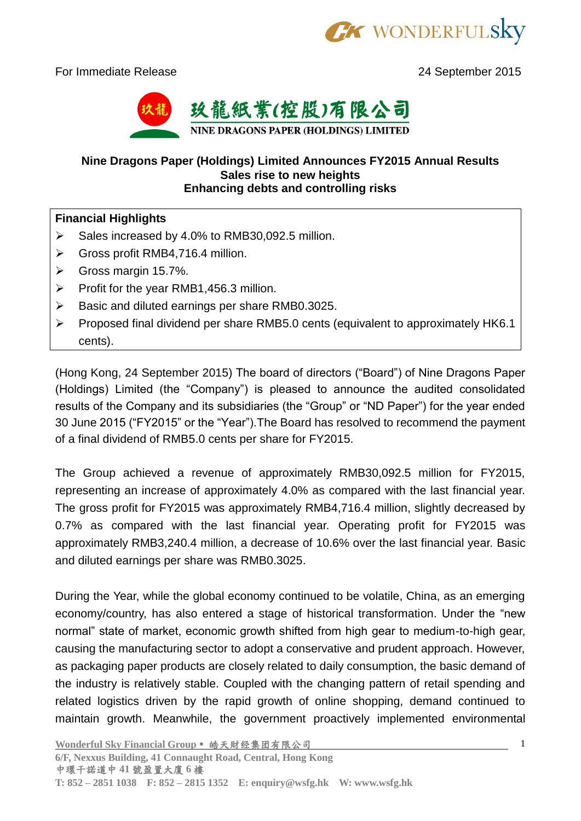

For Immediate Release 2015



## **Nine Dragons Paper (Holdings) Limited Announces FY2015 Annual Results Sales rise to new heights Enhancing debts and controlling risks**

## **Financial Highlights**

- $\triangleright$  Sales increased by 4.0% to RMB30,092.5 million.
- Gross profit RMB4,716.4 million.
- $\triangleright$  Gross margin 15.7%.
- $\triangleright$  Profit for the year RMB1,456.3 million.
- $\triangleright$  Basic and diluted earnings per share RMB0.3025.
- $\triangleright$  Proposed final dividend per share RMB5.0 cents (equivalent to approximately HK6.1 cents).

(Hong Kong, 24 September 2015) The board of directors ("Board") of Nine Dragons Paper (Holdings) Limited (the "Company") is pleased to announce the audited consolidated results of the Company and its subsidiaries (the "Group" or "ND Paper") for the year ended 30 June 2015 ("FY2015" or the "Year").The Board has resolved to recommend the payment of a final dividend of RMB5.0 cents per share for FY2015.

The Group achieved a revenue of approximately RMB30,092.5 million for FY2015, representing an increase of approximately 4.0% as compared with the last financial year. The gross profit for FY2015 was approximately RMB4,716.4 million, slightly decreased by 0.7% as compared with the last financial year. Operating profit for FY2015 was approximately RMB3,240.4 million, a decrease of 10.6% over the last financial year. Basic and diluted earnings per share was RMB0.3025.

During the Year, while the global economy continued to be volatile, China, as an emerging economy/country, has also entered a stage of historical transformation. Under the "new normal" state of market, economic growth shifted from high gear to medium-to-high gear, causing the manufacturing sector to adopt a conservative and prudent approach. However, as packaging paper products are closely related to daily consumption, the basic demand of the industry is relatively stable. Coupled with the changing pattern of retail spending and related logistics driven by the rapid growth of online shopping, demand continued to maintain growth. Meanwhile, the government proactively implemented environmental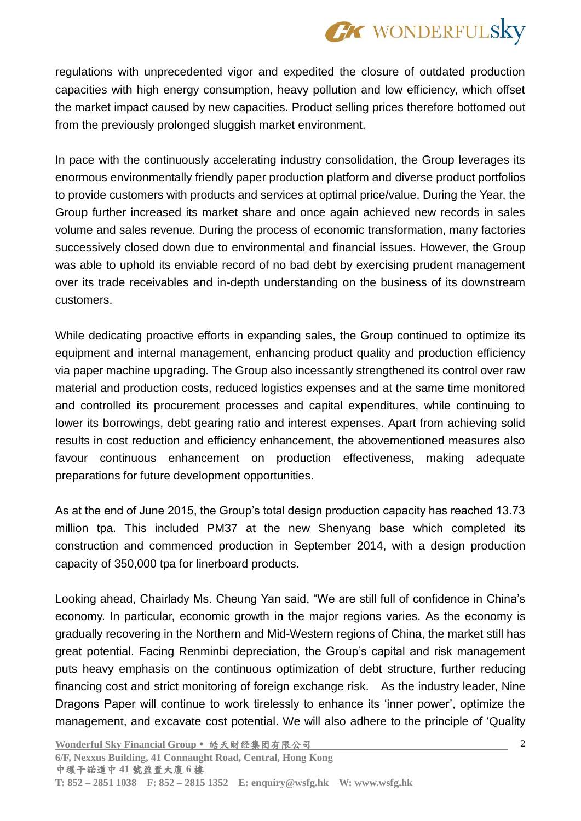

regulations with unprecedented vigor and expedited the closure of outdated production capacities with high energy consumption, heavy pollution and low efficiency, which offset the market impact caused by new capacities. Product selling prices therefore bottomed out from the previously prolonged sluggish market environment.

In pace with the continuously accelerating industry consolidation, the Group leverages its enormous environmentally friendly paper production platform and diverse product portfolios to provide customers with products and services at optimal price/value. During the Year, the Group further increased its market share and once again achieved new records in sales volume and sales revenue. During the process of economic transformation, many factories successively closed down due to environmental and financial issues. However, the Group was able to uphold its enviable record of no bad debt by exercising prudent management over its trade receivables and in-depth understanding on the business of its downstream customers.

While dedicating proactive efforts in expanding sales, the Group continued to optimize its equipment and internal management, enhancing product quality and production efficiency via paper machine upgrading. The Group also incessantly strengthened its control over raw material and production costs, reduced logistics expenses and at the same time monitored and controlled its procurement processes and capital expenditures, while continuing to lower its borrowings, debt gearing ratio and interest expenses. Apart from achieving solid results in cost reduction and efficiency enhancement, the abovementioned measures also favour continuous enhancement on production effectiveness, making adequate preparations for future development opportunities.

As at the end of June 2015, the Group's total design production capacity has reached 13.73 million tpa. This included PM37 at the new Shenyang base which completed its construction and commenced production in September 2014, with a design production capacity of 350,000 tpa for linerboard products.

Looking ahead, Chairlady Ms. Cheung Yan said, "We are still full of confidence in China's economy. In particular, economic growth in the major regions varies. As the economy is gradually recovering in the Northern and Mid-Western regions of China, the market still has great potential. Facing Renminbi depreciation, the Group's capital and risk management puts heavy emphasis on the continuous optimization of debt structure, further reducing financing cost and strict monitoring of foreign exchange risk. As the industry leader, Nine Dragons Paper will continue to work tirelessly to enhance its 'inner power', optimize the management, and excavate cost potential. We will also adhere to the principle of 'Quality